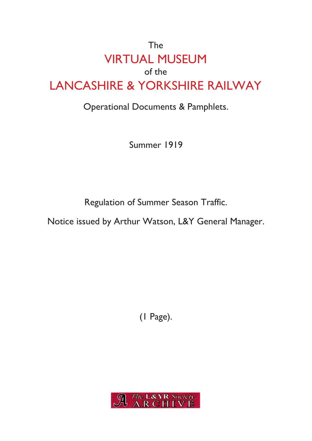## The VIRTUAL MUSEUM of the LANCASHIRE & YORKSHIRE RAILWAY

## Operational Documents & Pamphlets.

Summer 1919

Regulation of Summer Season Traffic.

Notice issued by Arthur Watson, L&Y General Manager.

(1 Page).